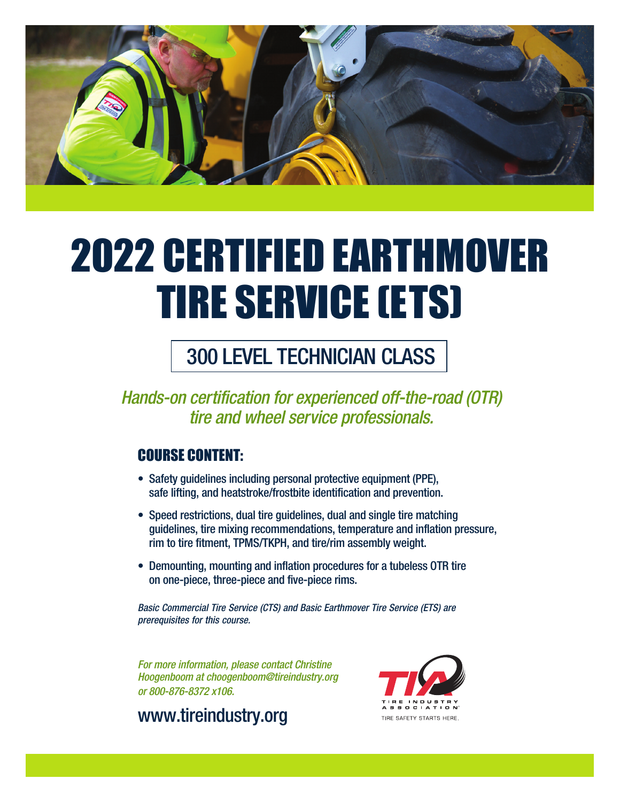

# 2022 CERTIFIED EARTHMOVER TIRE SERVICE (ETS)

# 300 LEVEL TECHNICIAN CLASS

*Hands-on certification for experienced off-the-road (OTR) tire and wheel service professionals.* 

# COURSE CONTENT:

- Safety guidelines including personal protective equipment (PPE), safe lifting, and heatstroke/frostbite identification and prevention.
- Speed restrictions, dual tire guidelines, dual and single tire matching guidelines, tire mixing recommendations, temperature and inflation pressure, rim to tire fitment, TPMS/TKPH, and tire/rim assembly weight.
- Demounting, mounting and inflation procedures for a tubeless OTR tire on one-piece, three-piece and five-piece rims.

*Basic Commercial Tire Service (CTS) and Basic Earthmover Tire Service (ETS) are prerequisites for this course.* 

*For more information, please contact Christine Hoogenboom at choogenboom@tireindustry.org or 800-876-8372 x106.*



www.tireindustry.org